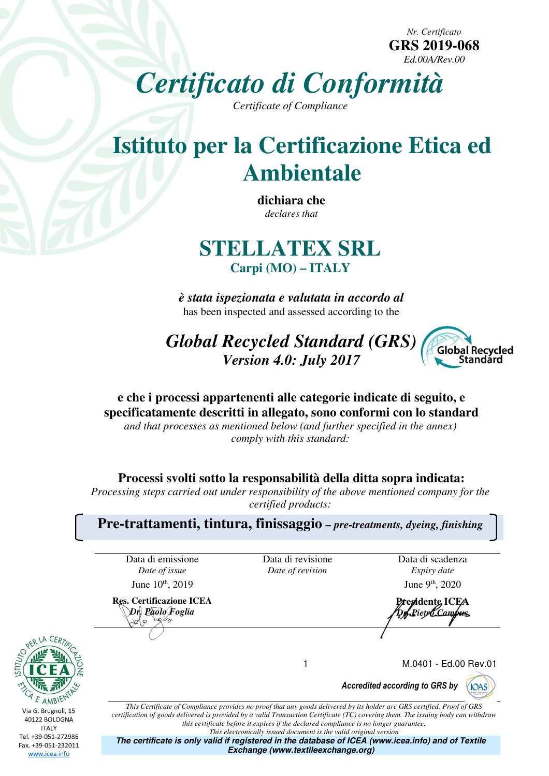*Nr. Certificato*  **GRS 2019-068**  *Ed.00A/Rev.00*

*Certificato di Conformità*

*Certificate of Compliance* 

# **Istituto per la Certificazione Etica ed Ambientale**

**dichiara che**  *declares that* 

## **STELLATEX SRL Carpi (MO) – ITALY**

*è stata ispezionata e valutata in accordo al*  has been inspected and assessed according to the

*Global Recycled Standard (GRS) Version 4.0: July 2017* 



### **e che i processi appartenenti alle categorie indicate di seguito, e specificatamente descritti in allegato, sono conformi con lo standard**

*and that processes as mentioned below (and further specified in the annex) comply with this standard:* 

**Processi svolti sotto la responsabilità della ditta sopra indicata:** 

*Processing steps carried out under responsibility of the above mentioned company for the certified products:* 

**Pre-trattamenti, tintura, finissaggio** *– pre-treatments, dyeing, finishing* 

Data di emissione *Date of issue*

**Res. Certificazione ICEA**  *Dr. Paolo Foglia*

Data di revisione *Date of revision*

Data di scadenza *Expiry date* June  $10^{th}$ , 2019 June 9<sup>th</sup>, 2020

**Presidente ICEA**  *Dr. Pietro Campus*

**YIOAS** 

1 M.0401 - Ed.00 Rev.01

*Accredited according to GRS by*



Tel. +39-051-272986 Fax. +39-051-232011 www.icea.info

*certification of goods delivered is provided by a valid Transaction Certificate (TC) covering them. The issuing body can withdraw this certificate before it expires if the declared compliance is no longer guarantee. This electronically issued document is the valid original version* **The certificate is only valid if registered in the database of ICEA (www.icea.info) and of Textile Exchange (www.textileexchange.org)**

*This Certificate of Compliance provides no proof that any goods delivered by its holder are GRS certified. Proof of GRS*